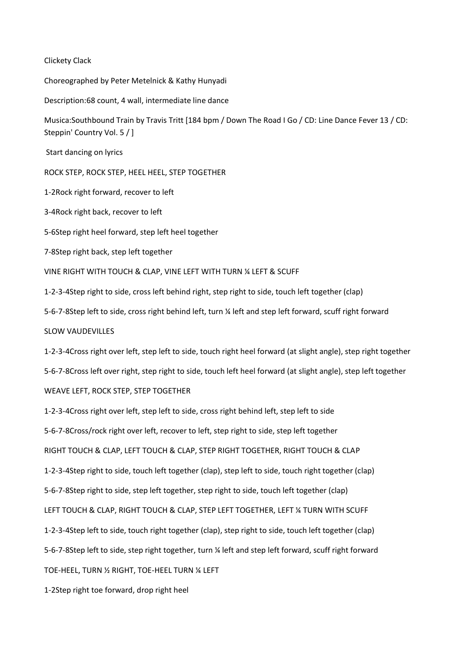## Clickety Clack

Choreographed by Peter Metelnick & Kathy Hunyadi

Description:68 count, 4 wall, intermediate line dance

Musica:Southbound Train by Travis Tritt [184 bpm / Down The Road I Go / CD: Line Dance Fever 13 / CD: Steppin' Country Vol. 5 / ]

Start dancing on lyrics

ROCK STEP, ROCK STEP, HEEL HEEL, STEP TOGETHER

1-2Rock right forward, recover to left

3-4Rock right back, recover to left

5-6Step right heel forward, step left heel together

7-8Step right back, step left together

VINE RIGHT WITH TOUCH & CLAP, VINE LEFT WITH TURN ¼ LEFT & SCUFF

1-2-3-4Step right to side, cross left behind right, step right to side, touch left together (clap)

5-6-7-8Step left to side, cross right behind left, turn ¼ left and step left forward, scuff right forward

SLOW VAUDEVILLES

1-2-3-4Cross right over left, step left to side, touch right heel forward (at slight angle), step right together 5-6-7-8Cross left over right, step right to side, touch left heel forward (at slight angle), step left together WEAVE LEFT, ROCK STEP, STEP TOGETHER

1-2-3-4Cross right over left, step left to side, cross right behind left, step left to side 5-6-7-8Cross/rock right over left, recover to left, step right to side, step left together RIGHT TOUCH & CLAP, LEFT TOUCH & CLAP, STEP RIGHT TOGETHER, RIGHT TOUCH & CLAP 1-2-3-4Step right to side, touch left together (clap), step left to side, touch right together (clap) 5-6-7-8Step right to side, step left together, step right to side, touch left together (clap) LEFT TOUCH & CLAP, RIGHT TOUCH & CLAP, STEP LEFT TOGETHER, LEFT ¼ TURN WITH SCUFF 1-2-3-4Step left to side, touch right together (clap), step right to side, touch left together (clap) 5-6-7-8Step left to side, step right together, turn ¼ left and step left forward, scuff right forward TOE-HEEL, TURN ½ RIGHT, TOE-HEEL TURN ¼ LEFT

1-2Step right toe forward, drop right heel